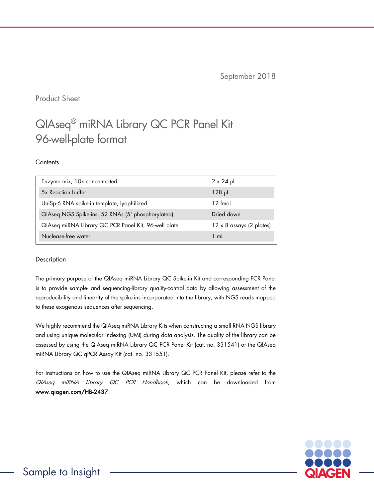September 2018

Product Sheet

# QIAseq® miRNA Library QC PCR Panel Kit 96-well-plate format

## **Contents**

| Enzyme mix, 10x concentrated                         | $2 \times 24$ µL                |
|------------------------------------------------------|---------------------------------|
| 5x Reaction buffer                                   | $128$ $\mu$                     |
| UniSp-6 RNA spike-in template, lyophilized           | $12 \text{ fmol}$               |
| QIAseq NGS Spike-ins, 52 RNAs (5' phosphorylated)    | Dried down                      |
| QIAseq miRNA Library QC PCR Panel Kit, 96-well plate | $12 \times 8$ assays (2 plates) |
| Nuclease-free water                                  | 1 mL                            |

## Description

The primary purpose of the QIAseq miRNA Library QC Spike-in Kit and corresponding PCR Panel is to provide sample- and sequencing-library quality-control data by allowing assessment of the reproducibility and linearity of the spike-ins incorporated into the library, with NGS reads mapped to these exogenous sequences after sequencing.

We highly recommend the QIAseq miRNA Library Kits when constructing a small RNA NGS library and using unique molecular indexing (UMI) during data analysis. The quality of the library can be assessed by using the QIAseq miRNA Library QC PCR Panel Kit (cat. no. 331541) or the QIAseq miRNA Library QC qPCR Assay Kit (cat. no. 331551).

For instructions on how to use the QIAseq miRNA Library QC PCR Panel Kit, please refer to the QIAseq miRNA Library QC PCR Handbook, which can be downloaded from [www.qiagen.com/HB-2437.](http://www.qiagen.com/HB-2437) 

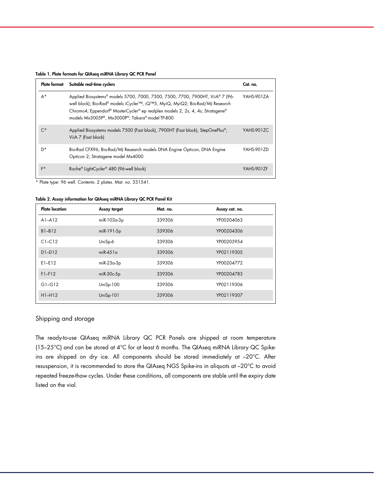|  |  |  |  |  |  |  | Table 1. Plate formats for QIAseq miRNA Library QC PCR Panel |  |
|--|--|--|--|--|--|--|--------------------------------------------------------------|--|
|--|--|--|--|--|--|--|--------------------------------------------------------------|--|

| <b>Plate format</b> | Suitable real-time cyclers                                                                                                                                                                                                                                                                          | Cat. no.   |
|---------------------|-----------------------------------------------------------------------------------------------------------------------------------------------------------------------------------------------------------------------------------------------------------------------------------------------------|------------|
| $A^*$               | Applied Biosystems® models 5700, 7000, 7300, 7500, 7700, 7900HT, ViiA® 7 (96-<br>well block); Bio-Rad® models iCycler™, iQ™5, MyiQ, MyiQ2; Bio-Rad/MJ Research<br>Chromo4; Eppendorf® MasterCycler® ep realplex models 2, 2s, 4, 4s; Stratagene®<br>models Mx3005P®, Mx3000P®; Takara® model TP-800 | YAHS-901ZA |
| ∩*                  | Applied Biosystems models 7500 (Fast block), 7900HT (Fast block), StepOnePlus®,<br>ViiA 7 (Fast block)                                                                                                                                                                                              | YAHS-901ZC |
| D*                  | Bio-Rad CFX96; Bio-Rad/MJ Research models DNA Engine Opticon, DNA Engine<br>Opticon 2; Stratagene model Mx4000                                                                                                                                                                                      | YAHS-9017D |
| F*                  | Roche® LightCycler® 480 (96-well block)                                                                                                                                                                                                                                                             | YAHS-901ZF |

\* Plate type: 96 well. Contents: 2 plates. Mat. no. 331541.

#### Table 2. Assay information for QIAseq miRNA Library QC PCR Panel Kit

| <b>Plate location</b> | Assay target | Mat. no. | Assay cat. no. |
|-----------------------|--------------|----------|----------------|
| $A1 - A12$            | miR-103a-3p  | 339306   | YP00204063     |
| B1-B12                | miR-191-5p   | 339306   | YP00204306     |
| $C1-C12$              | UniSp-6      | 339306   | YP00203954     |
| $D1-D12$              | $mR-451a$    | 339306   | YP02119305     |
| $E1-E12$              | $miR-23a-3p$ | 339306   | YP00204772     |
| $F1-F12$              | $miR-30c-5p$ | 339306   | YP00204783     |
| $G1-G12$              | $UniSp-100$  | 339306   | YP02119306     |
| $H1-H12$              | $UniSp-101$  | 339306   | YP02119307     |

## Shipping and storage

The ready-to-use QIAseq miRNA Library QC PCR Panels are shipped at room temperature (15–25°C) and can be stored at 4°C for at least 6 months. The QIAseq miRNA Library QC Spikeins are shipped on dry ice. All components should be stored immediately at –20°C. After resuspension, it is recommended to store the QIAseq NGS Spike-ins in aliquots at –20°C to avoid repeated freeze-thaw cycles. Under these conditions, all components are stable until the expiry date listed on the vial.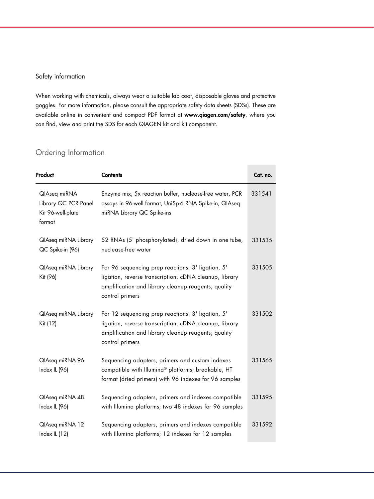## Safety information

When working with chemicals, always wear a suitable lab coat, disposable gloves and protective goggles. For more information, please consult the appropriate safety data sheets (SDSs). These are available online in convenient and compact PDF format at [www.qiagen.com/safety](http://www.qiagen.com/safety), where you can find, view and print the SDS for each QIAGEN kit and kit component.

## Ordering Information

| Product                                                             | <b>Contents</b>                                                                                                                                                                       | Cat. no. |
|---------------------------------------------------------------------|---------------------------------------------------------------------------------------------------------------------------------------------------------------------------------------|----------|
| QlAseq miRNA<br>Library QC PCR Panel<br>Kit 96-well-plate<br>format | Enzyme mix, 5x reaction buffer, nuclease-free water, PCR<br>assays in 96-well format, UniSp-6 RNA Spike-in, QIAseq<br>miRNA Library QC Spike-ins                                      | 331541   |
| QlAseq miRNA Library<br>QC Spike-in (96)                            | 52 RNAs (5' phosphorylated), dried down in one tube,<br>nuclease-free water                                                                                                           | 331535   |
| QlAseq miRNA Library<br>Kit (96)                                    | For 96 sequencing prep reactions: 3' ligation, 5'<br>ligation, reverse transcription, cDNA cleanup, library<br>amplification and library cleanup reagents; quality<br>control primers | 331505   |
| QlAseq miRNA Library<br>Kit (12)                                    | For 12 sequencing prep reactions: 3' ligation, 5'<br>ligation, reverse transcription, cDNA cleanup, library<br>amplification and library cleanup reagents; quality<br>control primers | 331502   |
| QlAseq miRNA 96<br>Index IL (96)                                    | Sequencing adapters, primers and custom indexes<br>compatible with Illumina® platforms; breakable, HT<br>format (dried primers) with 96 indexes for 96 samples                        | 331565   |
| QlAseq miRNA 48<br>Index IL (96)                                    | Sequencing adapters, primers and indexes compatible<br>with Illumina platforms; two 48 indexes for 96 samples                                                                         | 331595   |
| QlAseq miRNA 12<br>Index IL (12)                                    | Sequencing adapters, primers and indexes compatible<br>with Illumina platforms; 12 indexes for 12 samples                                                                             | 331592   |